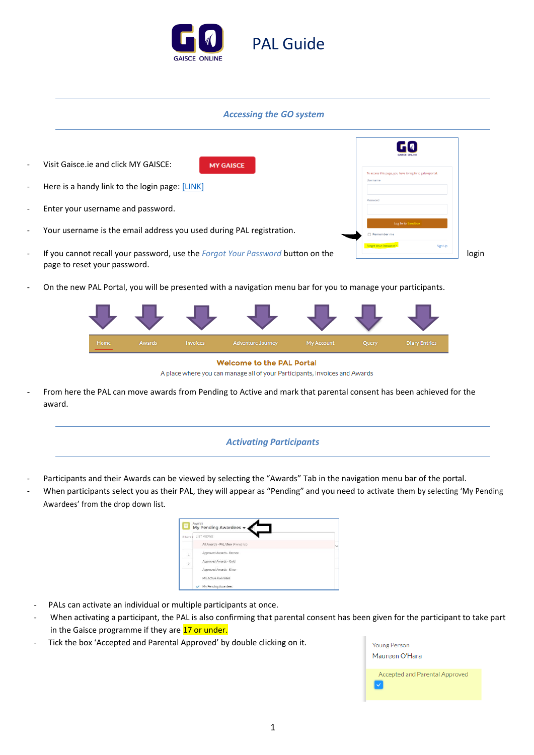

## *Accessing the GO system*

| $\overline{\phantom{a}}$ | Visit Gaisce ie and click MY GAISCE:<br><b>MY GAISCE</b>                                                       |                                                                      |       |
|--------------------------|----------------------------------------------------------------------------------------------------------------|----------------------------------------------------------------------|-------|
| $\overline{\phantom{a}}$ | Here is a handy link to the login page: [LINK]                                                                 | To access this page, you have to log in to galsceportal.<br>Username |       |
| $\overline{\phantom{a}}$ | Enter your username and password.                                                                              | Password                                                             |       |
| $\overline{\phantom{a}}$ | Your username is the email address you used during PAL registration.                                           | Log In to Sandbox<br>□ Remember me                                   |       |
| $\overline{\phantom{a}}$ | If you cannot recall your password, use the Forgot Your Password button on the<br>page to reset your password. | Forgot Your Password<br>Sign Up                                      | login |

- On the new PAL Portal, you will be presented with a navigation menu bar for you to manage your participants.

| Home                             | Awards | <b>Invoices</b> | Adventure Journey | My Account | Query | <b>Diary Entries</b> |  |
|----------------------------------|--------|-----------------|-------------------|------------|-------|----------------------|--|
| <b>Welcome to the PAL Portal</b> |        |                 |                   |            |       |                      |  |



- From here the PAL can move awards from Pending to Active and mark that parental consent has been achieved for the award.

### *Activating Participants*

- Participants and their Awards can be viewed by selecting the "Awards" Tab in the navigation menu bar of the portal.
- When participants select you as their PAL, they will appear as "Pending" and you need to activate them by selecting 'My Pending Awardees' from the drop down list.



- PALs can activate an individual or multiple participants at once.
- When activating a participant, the PAL is also confirming that parental consent has been given for the participant to take part in the Gaisce programme if they are 17 or under.
- Tick the box 'Accepted and Parental Approved' by double clicking on it.

| Young Person<br>Maureen O'Hara |
|--------------------------------|
| Accepted and Parental Approved |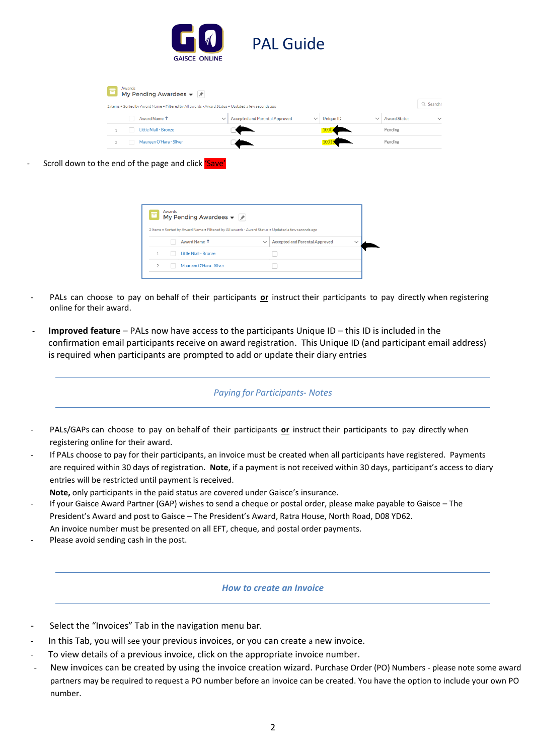

| Ξ | Awards | My Pending Awardees $\blacktriangledown$ $\cancel{\pi}$                                            |                                       |                           |                     |              |
|---|--------|----------------------------------------------------------------------------------------------------|---------------------------------------|---------------------------|---------------------|--------------|
|   |        | 2 items . Sorted by Award Name . Filtered by All awards - Award Status . Updated a few seconds ago |                                       |                           |                     | Q Search t   |
|   |        | Award Name 1<br>$\check{~}$                                                                        | <b>Accepted and Parental Approved</b> | Unique ID<br>$\checkmark$ | <b>Award Status</b> | $\checkmark$ |
|   |        | Little Niall - Bronze                                                                              |                                       |                           | Pending             |              |
|   |        | Maureen O'Hara - Silver                                                                            |                                       |                           | Pending             |              |

Scroll down to the end of the page and click 'Save'

| 2 items . Sorted by Award Name . Filtered by All awards - Award Status . Updated a few seconds ago |              |
|----------------------------------------------------------------------------------------------------|--------------|
| <b>Accepted and Parental Approved</b><br>$\checkmark$                                              | $\checkmark$ |
|                                                                                                    |              |
|                                                                                                    |              |
|                                                                                                    |              |

- PALs can choose to pay on behalf of their participants **or** instruct their participants to pay directly when registering online for their award.
- **Improved feature** PALs now have access to the participants Unique ID this ID is included in the confirmation email participants receive on award registration. This Unique ID (and participant email address) is required when participants are prompted to add or update their diary entries

# *Paying for Participants- Notes*

- PALs/GAPs can choose to pay on behalf of their participants or instruct their participants to pay directly when registering online for their award.
- If PALs choose to pay for their participants, an invoice must be created when all participants have registered. Payments are required within 30 days of registration. **Note**, if a payment is not received within 30 days, participant's access to diary entries will be restricted until payment is received.

**Note,** only participants in the paid status are covered under Gaisce's insurance.

- If your Gaisce Award Partner (GAP) wishes to send a cheque or postal order, please make payable to Gaisce The President's Award and post to Gaisce – The President's Award, Ratra House, North Road, D08 YD62. An invoice number must be presented on all EFT, cheque, and postal order payments.
- Please avoid sending cash in the post.

### *How to create an Invoice*

- Select the "Invoices" Tab in the navigation menu bar.
- In this Tab, you will see your previous invoices, or you can create a new invoice.
- To view details of a previous invoice, click on the appropriate invoice number.
- New invoices can be created by using the invoice creation wizard. Purchase Order (PO) Numbers please note some award partners may be required to request a PO number before an invoice can be created. You have the option to include your own PO number.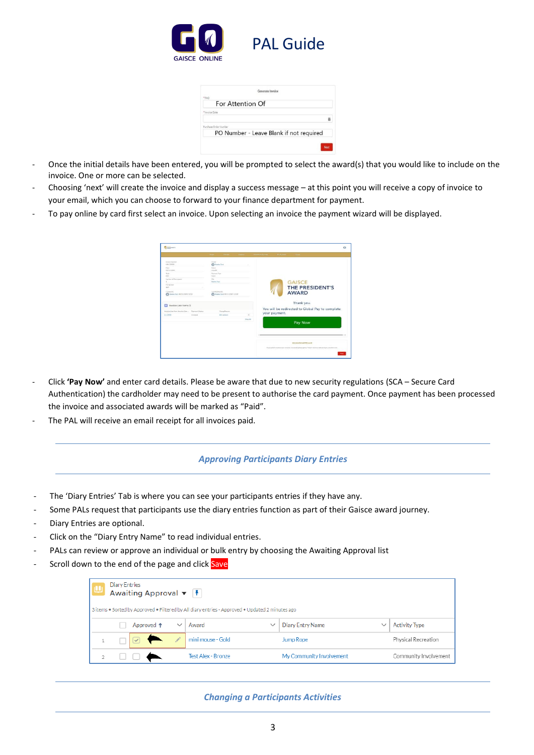

|                       | Generate Invoice                        |   |
|-----------------------|-----------------------------------------|---|
| *FAO                  |                                         |   |
|                       | For Attention Of                        |   |
| * Invoice Date        |                                         |   |
|                       |                                         | 苗 |
| Purchase Order Number |                                         |   |
|                       | PO Number - Leave Blank if not required |   |
|                       |                                         |   |

- Once the initial details have been entered, you will be prompted to select the award(s) that you would like to include on the invoice. One or more can be selected.
- Choosing 'next' will create the invoice and display a success message at this point you will receive a copy of invoice to your email, which you can choose to forward to your finance department for payment.
- To pay online by card first select an invoice. Upon selecting an invoice the payment wizard will be displayed.

| <b>Billiannia</b>                                                                                                                                                                                                                                   |                     | <b>TENNIS</b><br><b>Journal</b>                                                                                                                                                                                     | <b>Newman</b>        | Advertise Licens | $\circ$<br>1000 Million<br><b>DATE:</b>                                                                                                         |
|-----------------------------------------------------------------------------------------------------------------------------------------------------------------------------------------------------------------------------------------------------|---------------------|---------------------------------------------------------------------------------------------------------------------------------------------------------------------------------------------------------------------|----------------------|------------------|-------------------------------------------------------------------------------------------------------------------------------------------------|
| <b>EVIDED PAINTING</b><br>IFOV 30900<br>Date:<br>00/11/2021<br>244<br>epo.<br>Number of Field Lands<br>PONZIN<br>123<br>Controller<br>@ hems feet, 08/15/2021 12:55<br>Invoice Line items (1)<br>о<br>Invoice Line Hern Trunks Line  Peyment Status |                     | Ourse<br><b>Ch</b> Forder Text<br><b>TEACH</b><br>Urganic<br><b>Reynoun Type</b><br>National<br>$\Delta\phi_{\rm in}$<br>Resten Test<br>List Histmat By<br><b>Co</b> France Text, 06/11/2021 12:02<br>Young Parsons |                      |                  | <b>GAISCE</b><br>THE PRESIDENT'S<br><b>AWARD</b><br>Thank you.<br>You will be redirected to Global Pay to complete<br>your payment.             |
| III-10086                                                                                                                                                                                                                                           | <b>Insura March</b> | IE 4 Jackson                                                                                                                                                                                                        | $\omega$<br>View All |                  | Pay Now                                                                                                                                         |
|                                                                                                                                                                                                                                                     |                     |                                                                                                                                                                                                                     |                      |                  | <b>Invoice Dmail Wizard</b><br>If you debt's receive your leaster via must please gross "Next" and we will send you another over.<br><b>New</b> |

- Click **'Pay Now'** and enter card details. Please be aware that due to new security regulations (SCA Secure Card Authentication) the cardholder may need to be present to authorise the card payment. Once payment has been processed the invoice and associated awards will be marked as "Paid".
- The PAL will receive an email receipt for all invoices paid.

### *Approving Participants Diary Entries*

- The 'Diary Entries' Tab is where you can see your participants entries if they have any.
- Some PALs request that participants use the diary entries function as part of their Gaisce award journey.
- Diary Entries are optional.
- Click on the "Diary Entry Name" to read individual entries.
- PALs can review or approve an individual or bulk entry by choosing the Awaiting Approval list
- Scroll down to the end of the page and click Save

| <b>Diary Entries</b><br>Awaiting Approval $\blacktriangledown$ \[ \le \le \] |  |                       |              |                                                                                                          |                          |             |                       |  |
|------------------------------------------------------------------------------|--|-----------------------|--------------|----------------------------------------------------------------------------------------------------------|--------------------------|-------------|-----------------------|--|
|                                                                              |  | Approved <sup>+</sup> | $\checkmark$ | 3 items . Sorted by Approved . Filtered by All diary entries - Approved . Updated 2 minutes ago<br>Award | <b>Diary Entry Name</b>  | $\check{ }$ | <b>Activity Type</b>  |  |
|                                                                              |  | ✔                     |              | mini mouse - Gold                                                                                        | Jump Rope                |             | Physical Recreation   |  |
|                                                                              |  |                       |              | Test Alex - Bronze                                                                                       | My Community Involvement |             | Community Involvement |  |

## *Changing a Participants Activities*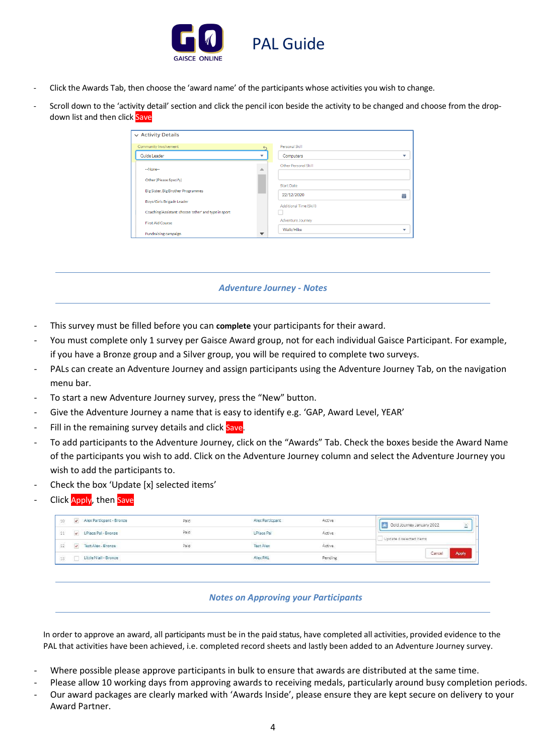

- Click the Awards Tab, then choose the 'award name' of the participants whose activities you wish to change.
- Scroll down to the 'activity detail' section and click the pencil icon beside the activity to be changed and choose from the dropdown list and then click Save

| $\vee$ Activity Details                              |                          |                         |   |
|------------------------------------------------------|--------------------------|-------------------------|---|
| Community Involvement                                |                          | Personal Skill          |   |
| Guide Leader                                         | $\overline{\phantom{a}}$ | Computers               | v |
| --None--                                             | Δ                        | Other Personal Skill    |   |
| Other (Please Specify)                               |                          | <b>Start Date</b>       |   |
| Big Sister, Big Brother Programmes                   |                          | 22/12/2020              | 萹 |
| Boys/Girls Brigade Leader                            |                          | Additional Time (Skill) |   |
| Coaching/Assistant: choose 'other' and type in sport |                          |                         |   |
| First Aid Course                                     |                          | Adventure Journey       |   |
| Fundraising campaign                                 |                          | Walk/Hike               |   |

## *Adventure Journey - Notes*

- This survey must be filled before you can **complete** your participants for their award.
- You must complete only 1 survey per Gaisce Award group, not for each individual Gaisce Participant. For example, if you have a Bronze group and a Silver group, you will be required to complete two surveys.
- PALs can create an Adventure Journey and assign participants using the Adventure Journey Tab, on the navigation menu bar.
- To start a new Adventure Journey survey, press the "New" button.
- Give the Adventure Journey a name that is easy to identify e.g. 'GAP, Award Level, YEAR'
- Fill in the remaining survey details and click Save.
- To add participants to the Adventure Journey, click on the "Awards" Tab. Check the boxes beside the Award Name of the participants you wish to add. Click on the Adventure Journey column and select the Adventure Journey you wish to add the participants to.
- Check the box 'Update [x] selected items'
- Click Apply, then Save

| $10\,$ | Alex Particpant - Bronze<br>$\mathcal{L}$         | Paid | Alex Particpant   | Active  | Gold Journey January 2022<br>× |
|--------|---------------------------------------------------|------|-------------------|---------|--------------------------------|
| 11     | LPlace Pal - Bronze                               | Paid | <b>LPlace Pal</b> | Active  | Update ó selected items        |
| 12     | Test Alex - Bronze<br>$\overline{\mathcal{L}}$    | Paid | <b>Test Alex</b>  | Active  |                                |
| $13\,$ | Little Niall - Bronze<br>아이가 그 일을 합니다. 이번 일이 있어요? |      | Alex PAL          | Pending | <b>Apply</b><br>Cancel         |

### *Notes on Approving your Participants*

In order to approve an award, all participants must be in the paid status, have completed all activities, provided evidence to the PAL that activities have been achieved, i.e. completed record sheets and lastly been added to an Adventure Journey survey.

- Where possible please approve participants in bulk to ensure that awards are distributed at the same time.
- Please allow 10 working days from approving awards to receiving medals, particularly around busy completion periods.
- Our award packages are clearly marked with 'Awards Inside', please ensure they are kept secure on delivery to your Award Partner.